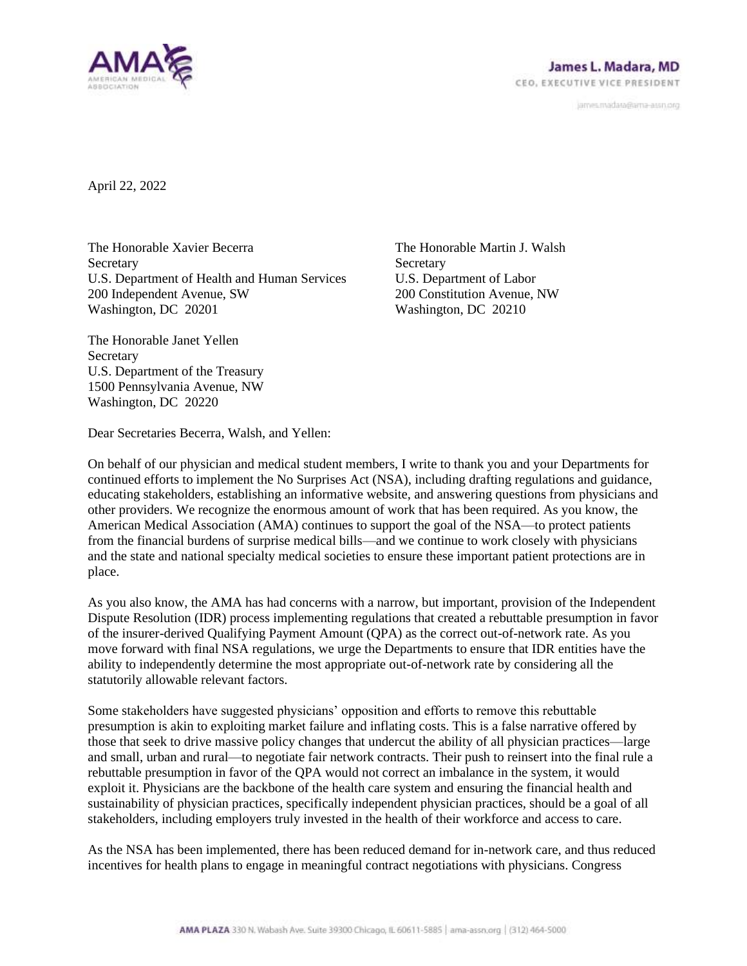

janves.madara@ama-assn.org

April 22, 2022

The Honorable Xavier Becerra **Secretary** U.S. Department of Health and Human Services 200 Independent Avenue, SW Washington, DC 20201

The Honorable Martin J. Walsh **Secretary** U.S. Department of Labor 200 Constitution Avenue, NW Washington, DC 20210

The Honorable Janet Yellen **Secretary** U.S. Department of the Treasury 1500 Pennsylvania Avenue, NW Washington, DC 20220

Dear Secretaries Becerra, Walsh, and Yellen:

On behalf of our physician and medical student members, I write to thank you and your Departments for continued efforts to implement the No Surprises Act (NSA), including drafting regulations and guidance, educating stakeholders, establishing an informative website, and answering questions from physicians and other providers. We recognize the enormous amount of work that has been required. As you know, the American Medical Association (AMA) continues to support the goal of the NSA—to protect patients from the financial burdens of surprise medical bills—and we continue to work closely with physicians and the state and national specialty medical societies to ensure these important patient protections are in place.

As you also know, the AMA has had concerns with a narrow, but important, provision of the Independent Dispute Resolution (IDR) process implementing regulations that created a rebuttable presumption in favor of the insurer-derived Qualifying Payment Amount (QPA) as the correct out-of-network rate. As you move forward with final NSA regulations, we urge the Departments to ensure that IDR entities have the ability to independently determine the most appropriate out-of-network rate by considering all the statutorily allowable relevant factors.

Some stakeholders have suggested physicians' opposition and efforts to remove this rebuttable presumption is akin to exploiting market failure and inflating costs. This is a false narrative offered by those that seek to drive massive policy changes that undercut the ability of all physician practices—large and small, urban and rural—to negotiate fair network contracts. Their push to reinsert into the final rule a rebuttable presumption in favor of the QPA would not correct an imbalance in the system, it would exploit it. Physicians are the backbone of the health care system and ensuring the financial health and sustainability of physician practices, specifically independent physician practices, should be a goal of all stakeholders, including employers truly invested in the health of their workforce and access to care.

As the NSA has been implemented, there has been reduced demand for in-network care, and thus reduced incentives for health plans to engage in meaningful contract negotiations with physicians. Congress